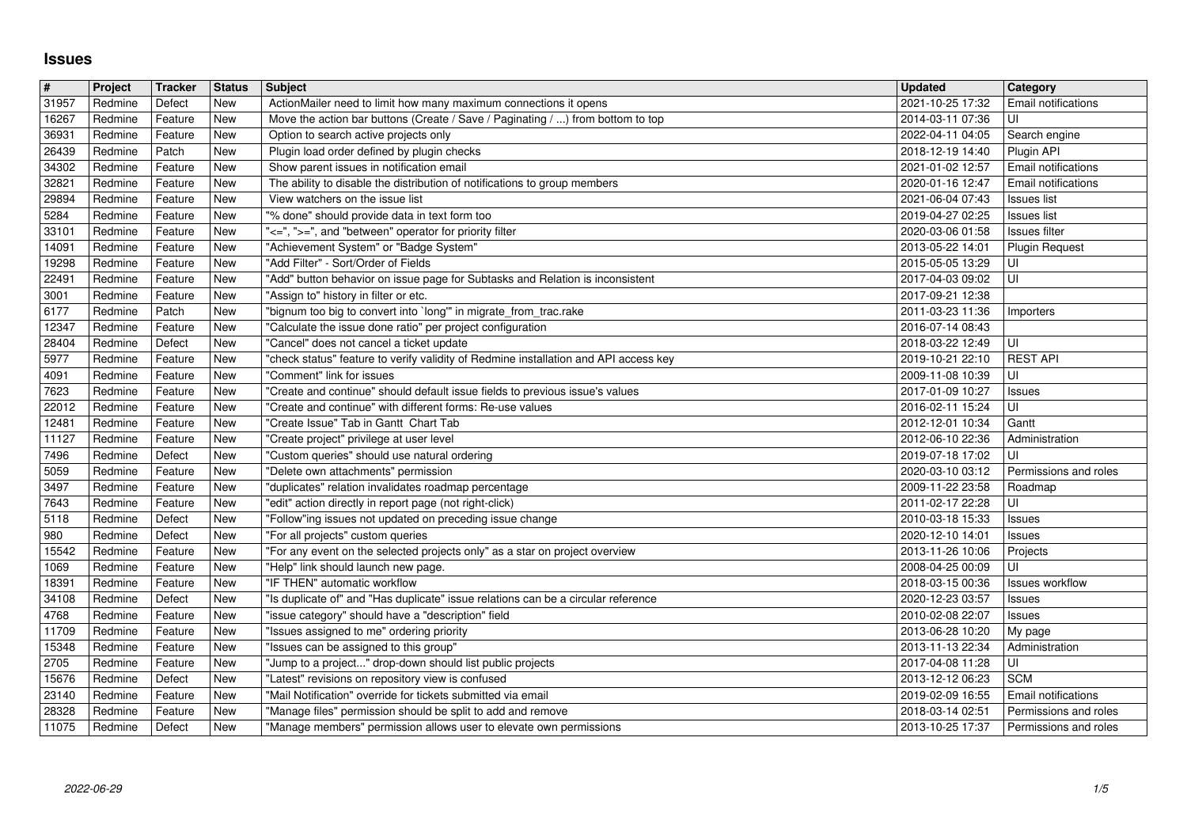## **Issues**

| $\pmb{\#}$     | Project            | Tracker<br>Defect  | <b>Status</b><br>New | <b>Subject</b>                                                                                                                                     | <b>Updated</b>                       | Category                                            |
|----------------|--------------------|--------------------|----------------------|----------------------------------------------------------------------------------------------------------------------------------------------------|--------------------------------------|-----------------------------------------------------|
| 31957<br>16267 | Redmine<br>Redmine | Feature            | New                  | ActionMailer need to limit how many maximum connections it opens<br>Move the action bar buttons (Create / Save / Paginating / ) from bottom to top | 2021-10-25 17:32<br>2014-03-11 07:36 | Email notifications<br>UI                           |
| 36931<br>26439 | Redmine<br>Redmine | Feature<br>Patch   | New<br>New           | Option to search active projects only<br>Plugin load order defined by plugin checks                                                                | 2022-04-11 04:05<br>2018-12-19 14:40 | Search engine<br>Plugin API                         |
| 34302          | Redmine            | Feature            | New                  | Show parent issues in notification email                                                                                                           | 2021-01-02 12:57                     | <b>Email notifications</b>                          |
| 32821<br>29894 | Redmine<br>Redmine | Feature<br>Feature | New<br>New           | The ability to disable the distribution of notifications to group members<br>View watchers on the issue list                                       | 2020-01-16 12:47<br>2021-06-04 07:43 | <b>Email notifications</b><br>Issues list           |
| 5284           | Redmine            | Feature            | New                  | "% done" should provide data in text form too                                                                                                      | 2019-04-27 02:25                     | <b>Issues list</b>                                  |
| 33101<br>14091 | Redmine<br>Redmine | Feature<br>Feature | New<br>New           | "<=", ">=", and "between" operator for priority filter<br>"Achievement System" or "Badge System"                                                   | 2020-03-06 01:58<br>2013-05-22 14:01 | <b>Issues filter</b><br><b>Plugin Request</b>       |
| 19298          | Redmine            | Feature            | New                  | "Add Filter" - Sort/Order of Fields                                                                                                                | 2015-05-05 13:29                     | UI                                                  |
| 22491<br>3001  | Redmine<br>Redmine | Feature<br>Feature | New<br>New           | "Add" button behavior on issue page for Subtasks and Relation is inconsistent<br>"Assign to" history in filter or etc.                             | 2017-04-03 09:02<br>2017-09-21 12:38 | UI                                                  |
| 6177           | Redmine            | Patch              | New                  | "bignum too big to convert into `long" in migrate_from_trac.rake                                                                                   | 2011-03-23 11:36                     | Importers                                           |
| 12347<br>28404 | Redmine<br>Redmine | Feature<br>Defect  | New<br>New           | "Calculate the issue done ratio" per project configuration<br>"Cancel" does not cancel a ticket update                                             | 2016-07-14 08:43<br>2018-03-22 12:49 | UI                                                  |
| 5977           | Redmine            | Feature            | New                  | "check status" feature to verify validity of Redmine installation and API access key                                                               | 2019-10-21 22:10                     | <b>REST API</b>                                     |
| 4091<br>7623   | Redmine<br>Redmine | Feature<br>Feature | New<br>New           | "Comment" link for issues<br>"Create and continue" should default issue fields to previous issue's values                                          | 2009-11-08 10:39<br>2017-01-09 10:27 | UI<br><b>Issues</b>                                 |
| 22012<br>12481 | Redmine<br>Redmine | Feature<br>Feature | New<br>New           | "Create and continue" with different forms: Re-use values<br>"Create Issue" Tab in Gantt Chart Tab                                                 | 2016-02-11 15:24<br>2012-12-01 10:34 | UI<br>Gantt                                         |
| 11127          | Redmine            | Feature            | New                  | "Create project" privilege at user level                                                                                                           | 2012-06-10 22:36                     | Administration                                      |
| 7496<br>5059   | Redmine<br>Redmine | Defect<br>Feature  | New<br>New           | "Custom queries" should use natural ordering<br>"Delete own attachments" permission                                                                | 2019-07-18 17:02<br>2020-03-10 03:12 | UI<br>Permissions and roles                         |
| 3497           | Redmine            | Feature            | New                  | "duplicates" relation invalidates roadmap percentage                                                                                               | 2009-11-22 23:58                     | Roadmap                                             |
| 7643<br>5118   | Redmine<br>Redmine | Feature<br>Defect  | New<br>New           | "edit" action directly in report page (not right-click)<br>"Follow"ing issues not updated on preceding issue change                                | 2011-02-17 22:28<br>2010-03-18 15:33 | UI<br>Issues                                        |
| 980            | Redmine            | Defect             | New                  | "For all projects" custom queries                                                                                                                  | 2020-12-10 14:01                     | <b>Issues</b>                                       |
| 15542<br>1069  | Redmine<br>Redmine | Feature<br>Feature | New<br>New           | "For any event on the selected projects only" as a star on project overview<br>"Help" link should launch new page.                                 | 2013-11-26 10:06<br>2008-04-25 00:09 | Projects<br>UI                                      |
| 18391          | Redmine            | Feature            | New                  | "IF THEN" automatic workflow                                                                                                                       | 2018-03-15 00:36                     | Issues workflow                                     |
| 34108<br>4768  | Redmine<br>Redmine | Defect<br>Feature  | New<br>New           | "Is duplicate of" and "Has duplicate" issue relations can be a circular reference<br>"issue category" should have a "description" field            | 2020-12-23 03:57<br>2010-02-08 22:07 | <b>Issues</b><br><b>Issues</b>                      |
| 11709          | Redmine            | Feature            | New                  | "Issues assigned to me" ordering priority                                                                                                          | 2013-06-28 10:20                     | My page                                             |
| 15348<br>2705  | Redmine<br>Redmine | Feature<br>Feature | New<br>New           | "Issues can be assigned to this group"<br>"Jump to a project" drop-down should list public projects                                                | 2013-11-13 22:34<br>2017-04-08 11:28 | Administration<br>UI                                |
| 15676          | Redmine            | Defect             | New                  | "Latest" revisions on repository view is confused<br>"Mail Notification" override for tickets submitted via email                                  | 2013-12-12 06:23                     | <b>SCM</b>                                          |
| 23140<br>28328 | Redmine<br>Redmine | Feature<br>Feature | New<br>New           | "Manage files" permission should be split to add and remove                                                                                        | 2019-02-09 16:55<br>2018-03-14 02:51 | <b>Email notifications</b><br>Permissions and roles |
| 11075          | Redmine            | Defect             | <b>New</b>           | "Manage members" permission allows user to elevate own permissions                                                                                 | 2013-10-25 17:37                     | Permissions and roles                               |
|                |                    |                    |                      |                                                                                                                                                    |                                      |                                                     |
|                |                    |                    |                      |                                                                                                                                                    |                                      |                                                     |
|                |                    |                    |                      |                                                                                                                                                    |                                      |                                                     |
|                |                    |                    |                      |                                                                                                                                                    |                                      |                                                     |
|                |                    |                    |                      |                                                                                                                                                    |                                      |                                                     |
|                |                    |                    |                      |                                                                                                                                                    |                                      |                                                     |
|                |                    |                    |                      |                                                                                                                                                    |                                      |                                                     |
|                |                    |                    |                      |                                                                                                                                                    |                                      |                                                     |
|                |                    |                    |                      |                                                                                                                                                    |                                      |                                                     |
|                |                    |                    |                      |                                                                                                                                                    |                                      |                                                     |
|                |                    |                    |                      |                                                                                                                                                    |                                      |                                                     |
|                |                    |                    |                      |                                                                                                                                                    |                                      |                                                     |
|                |                    |                    |                      |                                                                                                                                                    |                                      |                                                     |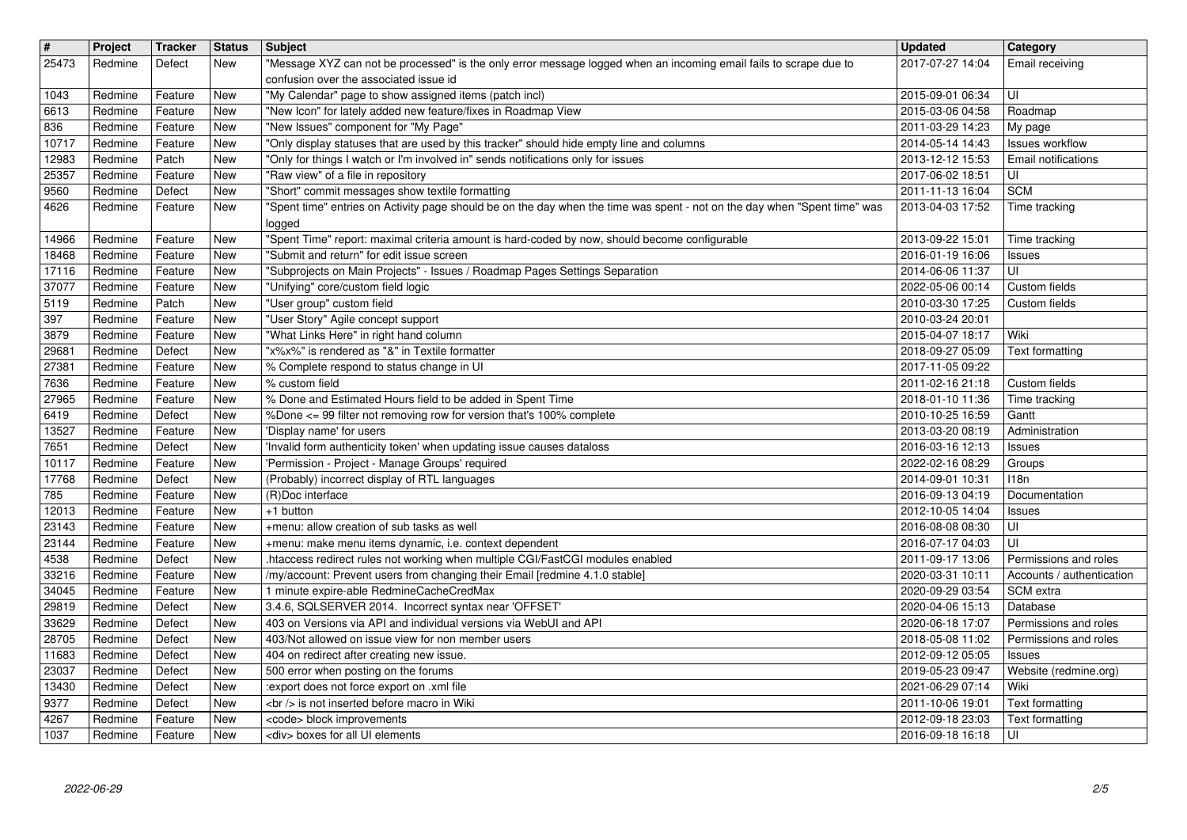| $\overline{\mathbf{H}}$<br>25473 | Project<br>Redmine | <b>Tracker</b><br>Defect | <b>Status</b><br><b>New</b> | <b>Subject</b><br>"Message XYZ can not be processed" is the only error message logged when an incoming email fails to scrape due to      | <b>Updated</b><br>2017-07-27 14:04   | Category<br>Email receiving                        |
|----------------------------------|--------------------|--------------------------|-----------------------------|------------------------------------------------------------------------------------------------------------------------------------------|--------------------------------------|----------------------------------------------------|
|                                  |                    |                          |                             | confusion over the associated issue id                                                                                                   |                                      |                                                    |
| 1043<br>6613                     | Redmine<br>Redmine | Feature<br>Feature       | <b>New</b><br><b>New</b>    | "My Calendar" page to show assigned items (patch incl)<br>"New Icon" for lately added new feature/fixes in Roadmap View                  | 2015-09-01 06:34<br>2015-03-06 04:58 | UI<br>Roadmap                                      |
| 836<br>10717                     | Redmine<br>Redmine | Feature<br>Feature       | <b>New</b><br><b>New</b>    | "New Issues" component for "My Page"<br>"Only display statuses that are used by this tracker" should hide empty line and columns         | 2011-03-29 14:23<br>2014-05-14 14:43 | My page<br>Issues workflow                         |
| 12983                            | Redmine            | Patch                    | <b>New</b>                  | "Only for things I watch or I'm involved in" sends notifications only for issues                                                         | 2013-12-12 15:53                     | <b>Email notifications</b>                         |
| 25357<br>9560                    | Redmine<br>Redmine | Feature<br>Defect        | <b>New</b><br><b>New</b>    | "Raw view" of a file in repository<br>"Short" commit messages show textile formatting                                                    | 2017-06-02 18:51<br>2011-11-13 16:04 | UI<br><b>SCM</b>                                   |
| 4626                             | Redmine            | Feature                  | New                         | "Spent time" entries on Activity page should be on the day when the time was spent - not on the day when "Spent time" was<br>logged      | 2013-04-03 17:52                     | Time tracking                                      |
| 14966                            | Redmine            | Feature                  | <b>New</b>                  | "Spent Time" report: maximal criteria amount is hard-coded by now, should become configurable                                            | 2013-09-22 15:01                     | Time tracking                                      |
| 18468<br>17116                   | Redmine<br>Redmine | Feature<br>Feature       | New<br><b>New</b>           | "Submit and return" for edit issue screen<br>"Subprojects on Main Projects" - Issues / Roadmap Pages Settings Separation                 | 2016-01-19 16:06<br>2014-06-06 11:37 | Issues<br>UI                                       |
| 37077<br>5119                    | Redmine<br>Redmine | Feature<br>Patch         | New<br><b>New</b>           | "Unifying" core/custom field logic<br>"User group" custom field                                                                          | 2022-05-06 00:14<br>2010-03-30 17:25 | Custom fields<br>Custom fields                     |
| 397                              | Redmine            | Feature                  | <b>New</b>                  | "User Story" Agile concept support                                                                                                       | 2010-03-24 20:01                     |                                                    |
| 3879<br>29681                    | Redmine<br>Redmine | Feature<br>Defect        | New<br><b>New</b>           | "What Links Here" in right hand column<br>"x%x%" is rendered as "&" in Textile formatter                                                 | 2015-04-07 18:17<br>2018-09-27 05:09 | Wiki<br>Text formatting                            |
| 27381<br>7636                    | Redmine<br>Redmine | Feature<br>Feature       | <b>New</b><br><b>New</b>    | % Complete respond to status change in UI<br>% custom field                                                                              | 2017-11-05 09:22<br>2011-02-16 21:18 | Custom fields                                      |
| 27965                            | Redmine            | Feature                  | <b>New</b>                  | % Done and Estimated Hours field to be added in Spent Time                                                                               | 2018-01-10 11:36                     | Time tracking                                      |
| 6419<br>13527                    | Redmine<br>Redmine | Defect<br>Feature        | <b>New</b><br><b>New</b>    | %Done <= 99 filter not removing row for version that's 100% complete<br>'Display name' for users                                         | 2010-10-25 16:59<br>2013-03-20 08:19 | Gantt<br>Administration                            |
| 7651<br>10117                    | Redmine<br>Redmine | Defect<br>Feature        | New<br>New                  | 'Invalid form authenticity token' when updating issue causes dataloss<br>'Permission - Project - Manage Groups' required                 | 2016-03-16 12:13<br>2022-02-16 08:29 | <b>Issues</b><br>Groups                            |
| 17768                            | Redmine            | Defect                   | New                         | (Probably) incorrect display of RTL languages                                                                                            | 2014-09-01 10:31                     | 118n                                               |
| 785<br>12013                     | Redmine<br>Redmine | Feature<br>Feature       | New<br><b>New</b>           | (R)Doc interface<br>+1 button                                                                                                            | 2016-09-13 04:19<br>2012-10-05 14:04 | Documentation<br><b>Issues</b>                     |
| 23143                            | Redmine            | Feature                  | <b>New</b><br><b>New</b>    | +menu: allow creation of sub tasks as well                                                                                               | 2016-08-08 08:30                     | UI<br>UI                                           |
| 23144<br>4538                    | Redmine<br>Redmine | Feature<br>Defect        | <b>New</b>                  | +menu: make menu items dynamic, i.e. context dependent<br>.htaccess redirect rules not working when multiple CGI/FastCGI modules enabled | 2016-07-17 04:03<br>2011-09-17 13:06 | Permissions and roles                              |
| 33216<br>34045                   | Redmine<br>Redmine | Feature<br>Feature       | <b>New</b><br>New           | /my/account: Prevent users from changing their Email [redmine 4.1.0 stable]<br>1 minute expire-able RedmineCacheCredMax                  | 2020-03-31 10:11<br>2020-09-29 03:54 | Accounts / authentication<br>SCM extra             |
| 29819                            | Redmine            | Defect                   | <b>New</b>                  | 3.4.6, SQLSERVER 2014. Incorrect syntax near 'OFFSET'                                                                                    | 2020-04-06 15:13                     | Database                                           |
| 33629<br>28705                   | Redmine<br>Redmine | Defect<br>Defect         | <b>New</b><br><b>New</b>    | 403 on Versions via API and individual versions via WebUI and API<br>403/Not allowed on issue view for non member users                  | 2020-06-18 17:07<br>2018-05-08 11:02 | Permissions and roles<br>Permissions and roles     |
| 11683<br>23037                   | Redmine<br>Redmine | Defect<br>Defect         | <b>New</b><br>New           | 404 on redirect after creating new issue.<br>500 error when posting on the forums                                                        | 2012-09-12 05:05                     | Issues<br>2019-05-23 09:47   Website (redmine.org) |
| 13430                            | Redmine            | Defect                   | <b>New</b>                  | :export does not force export on .xml file                                                                                               | 2021-06-29 07:14                     | Wiki                                               |
| 9377<br>4267                     | Redmine<br>Redmine | Defect<br>Feature        | New<br>New                  | <br>> is not inserted before macro in Wiki<br><code> block improvements</code>                                                           | 2011-10-06 19:01<br>2012-09-18 23:03 | Text formatting<br>Text formatting                 |
|                                  |                    |                          |                             |                                                                                                                                          |                                      |                                                    |
|                                  |                    |                          |                             |                                                                                                                                          |                                      |                                                    |
|                                  |                    |                          |                             |                                                                                                                                          |                                      |                                                    |
|                                  |                    |                          |                             |                                                                                                                                          |                                      |                                                    |
|                                  |                    |                          |                             |                                                                                                                                          |                                      |                                                    |
|                                  |                    |                          |                             |                                                                                                                                          |                                      |                                                    |
|                                  |                    |                          |                             |                                                                                                                                          |                                      |                                                    |
|                                  |                    |                          |                             |                                                                                                                                          |                                      |                                                    |
|                                  |                    |                          |                             |                                                                                                                                          |                                      |                                                    |
|                                  |                    |                          |                             |                                                                                                                                          |                                      |                                                    |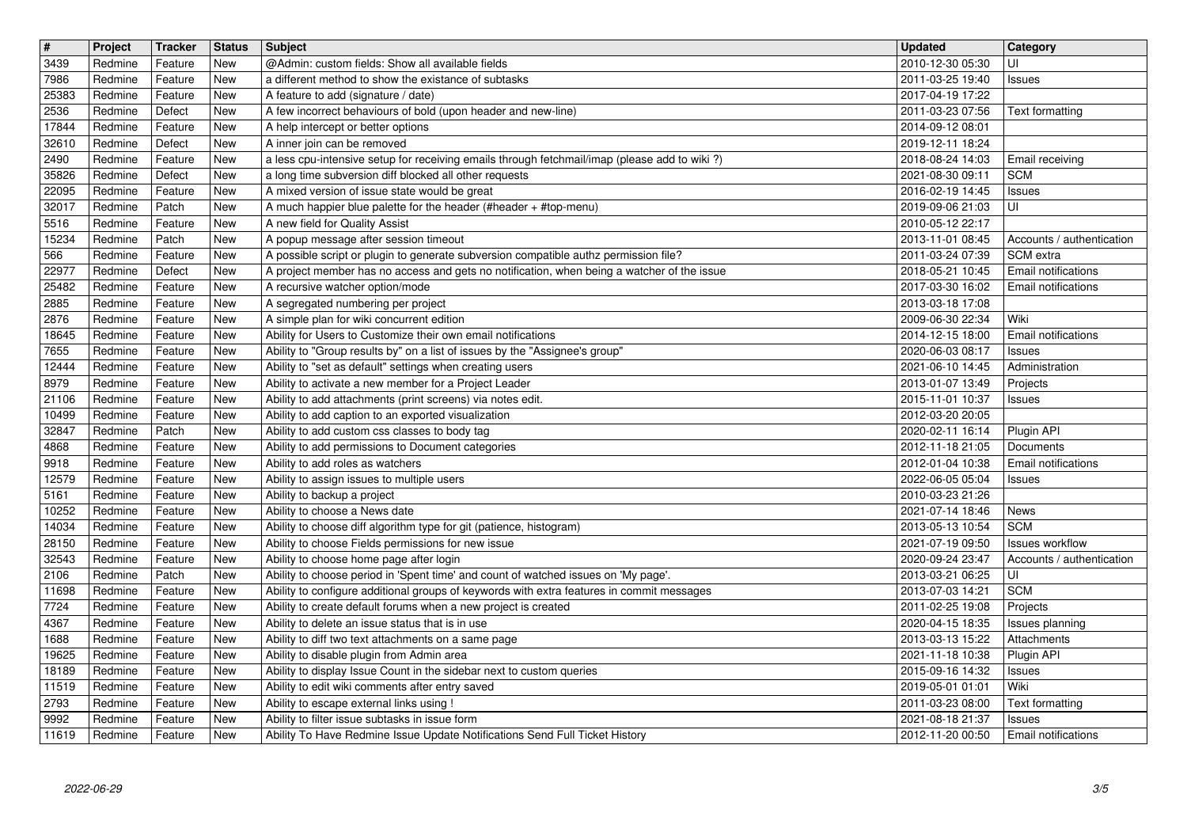| $\overline{\mathbf{H}}$ | Project            | Tracker            | <b>Status</b> | <b>Subject</b>                                                                                                                          | <b>Updated</b>                       | <b>Category</b>                                     |
|-------------------------|--------------------|--------------------|---------------|-----------------------------------------------------------------------------------------------------------------------------------------|--------------------------------------|-----------------------------------------------------|
| 3439<br>7986            | Redmine<br>Redmine | Feature<br>Feature | New<br>New    | @Admin: custom fields: Show all available fields<br>a different method to show the existance of subtasks                                | 2010-12-30 05:30<br>2011-03-25 19:40 | UI<br><b>Issues</b>                                 |
| 25383                   | Redmine            | Feature            | New           | A feature to add (signature / date)                                                                                                     | 2017-04-19 17:22                     |                                                     |
| 2536                    | Redmine            | Defect             | New           | A few incorrect behaviours of bold (upon header and new-line)                                                                           | 2011-03-23 07:56                     | Text formatting                                     |
| 17844                   | Redmine            | Feature            | New           | A help intercept or better options                                                                                                      | 2014-09-12 08:01                     |                                                     |
| 32610<br>2490           | Redmine<br>Redmine | Defect<br>Feature  | New<br>New    | A inner join can be removed<br>a less cpu-intensive setup for receiving emails through fetchmail/imap (please add to wiki?)             | 2019-12-11 18:24<br>2018-08-24 14:03 | Email receiving                                     |
| 35826                   | Redmine            | Defect             | New           | a long time subversion diff blocked all other requests                                                                                  | 2021-08-30 09:11                     | <b>SCM</b>                                          |
| 22095                   | Redmine            | Feature            | New           | A mixed version of issue state would be great                                                                                           | 2016-02-19 14:45                     | Issues                                              |
| 32017<br>5516           | Redmine<br>Redmine | Patch<br>Feature   | New<br>New    | A much happier blue palette for the header (#header + #top-menu)<br>A new field for Quality Assist                                      | 2019-09-06 21:03<br>2010-05-12 22:17 | UI                                                  |
| 15234                   | Redmine            | Patch              | New           | A popup message after session timeout                                                                                                   | 2013-11-01 08:45                     | Accounts / authentication                           |
| 566                     | Redmine            | Feature            | New           | A possible script or plugin to generate subversion compatible authz permission file?                                                    | 2011-03-24 07:39                     | SCM extra                                           |
| 22977<br>25482          | Redmine<br>Redmine | Defect<br>Feature  | New<br>New    | A project member has no access and gets no notification, when being a watcher of the issue<br>A recursive watcher option/mode           | 2018-05-21 10:45<br>2017-03-30 16:02 | Email notifications<br>Email notifications          |
| 2885                    | Redmine            | Feature            | New           | A segregated numbering per project                                                                                                      | 2013-03-18 17:08                     |                                                     |
| 2876                    | Redmine            | Feature            | New           | A simple plan for wiki concurrent edition                                                                                               | 2009-06-30 22:34                     | Wiki                                                |
| 18645                   | Redmine            | Feature            | New           | Ability for Users to Customize their own email notifications                                                                            | 2014-12-15 18:00                     | Email notifications                                 |
| 7655<br>12444           | Redmine<br>Redmine | Feature<br>Feature | New<br>New    | Ability to "Group results by" on a list of issues by the "Assignee's group"<br>Ability to "set as default" settings when creating users | 2020-06-03 08:17<br>2021-06-10 14:45 | Issues<br>Administration                            |
| 8979                    | Redmine            | Feature            | New           | Ability to activate a new member for a Project Leader                                                                                   | 2013-01-07 13:49                     | Projects                                            |
| 21106                   | Redmine            | Feature            | New           | Ability to add attachments (print screens) via notes edit.                                                                              | 2015-11-01 10:37                     | <b>Issues</b>                                       |
| 10499<br>32847          | Redmine<br>Redmine | Feature<br>Patch   | New<br>New    | Ability to add caption to an exported visualization<br>Ability to add custom css classes to body tag                                    | 2012-03-20 20:05<br>2020-02-11 16:14 | Plugin API                                          |
| 4868                    | Redmine            | Feature            | New           | Ability to add permissions to Document categories                                                                                       | 2012-11-18 21:05                     | Documents                                           |
| 9918                    | Redmine            | Feature            | New           | Ability to add roles as watchers                                                                                                        | 2012-01-04 10:38                     | Email notifications                                 |
| 12579<br>5161           | Redmine<br>Redmine | Feature<br>Feature | New<br>New    | Ability to assign issues to multiple users<br>Ability to backup a project                                                               | 2022-06-05 05:04<br>2010-03-23 21:26 | <b>Issues</b>                                       |
| 10252                   | Redmine            | Feature            | New           | Ability to choose a News date                                                                                                           | 2021-07-14 18:46                     | News                                                |
| 14034                   | Redmine            | Feature            | <b>New</b>    | Ability to choose diff algorithm type for git (patience, histogram)                                                                     | 2013-05-13 10:54                     | <b>SCM</b>                                          |
| 28150<br>32543          | Redmine<br>Redmine | Feature<br>Feature | New<br>New    | Ability to choose Fields permissions for new issue<br>Ability to choose home page after login                                           | 2021-07-19 09:50<br>2020-09-24 23:47 | <b>Issues workflow</b><br>Accounts / authentication |
| 2106                    | Redmine            | Patch              | New           | Ability to choose period in 'Spent time' and count of watched issues on 'My page'.                                                      | 2013-03-21 06:25                     | luı                                                 |
| 11698                   | Redmine            | Feature            | New           | Ability to configure additional groups of keywords with extra features in commit messages                                               | 2013-07-03 14:21                     | <b>SCM</b>                                          |
| 7724<br>4367            | Redmine<br>Redmine | Feature<br>Feature | New<br>New    | Ability to create default forums when a new project is created<br>Ability to delete an issue status that is in use                      | 2011-02-25 19:08<br>2020-04-15 18:35 | Projects<br>Issues planning                         |
| 1688                    | Redmine            | Feature            | New           | Ability to diff two text attachments on a same page                                                                                     | 2013-03-13 15:22                     | Attachments                                         |
| 19625<br>18189          | Redmine<br>Redmine | Feature<br>Feature | New<br>New    | Ability to disable plugin from Admin area<br>Ability to display Issue Count in the sidebar next to custom queries                       | 2021-11-18 10:38<br>2015-09-16 14:32 | Plugin API<br>Issues                                |
| 11519                   | Redmine            | Feature            | New           | Ability to edit wiki comments after entry saved                                                                                         | 2019-05-01 01:01                     | Wiki                                                |
| 2793<br>9992            | Redmine<br>Redmine | Feature<br>Feature | New<br>New    | Ability to escape external links using !<br>Ability to filter issue subtasks in issue form                                              | 2011-03-23 08:00<br>2021-08-18 21:37 | Text formatting<br>Issues                           |
| 11619                   | Redmine            | Feature            | New           | Ability To Have Redmine Issue Update Notifications Send Full Ticket History                                                             | 2012-11-20 00:50                     | Email notifications                                 |
|                         |                    |                    |               |                                                                                                                                         |                                      |                                                     |
|                         |                    |                    |               |                                                                                                                                         |                                      |                                                     |
|                         |                    |                    |               |                                                                                                                                         |                                      |                                                     |
|                         |                    |                    |               |                                                                                                                                         |                                      |                                                     |
|                         |                    |                    |               |                                                                                                                                         |                                      |                                                     |
|                         |                    |                    |               |                                                                                                                                         |                                      |                                                     |
|                         |                    |                    |               |                                                                                                                                         |                                      |                                                     |
|                         |                    |                    |               |                                                                                                                                         |                                      |                                                     |
|                         |                    |                    |               |                                                                                                                                         |                                      |                                                     |
|                         |                    |                    |               |                                                                                                                                         |                                      |                                                     |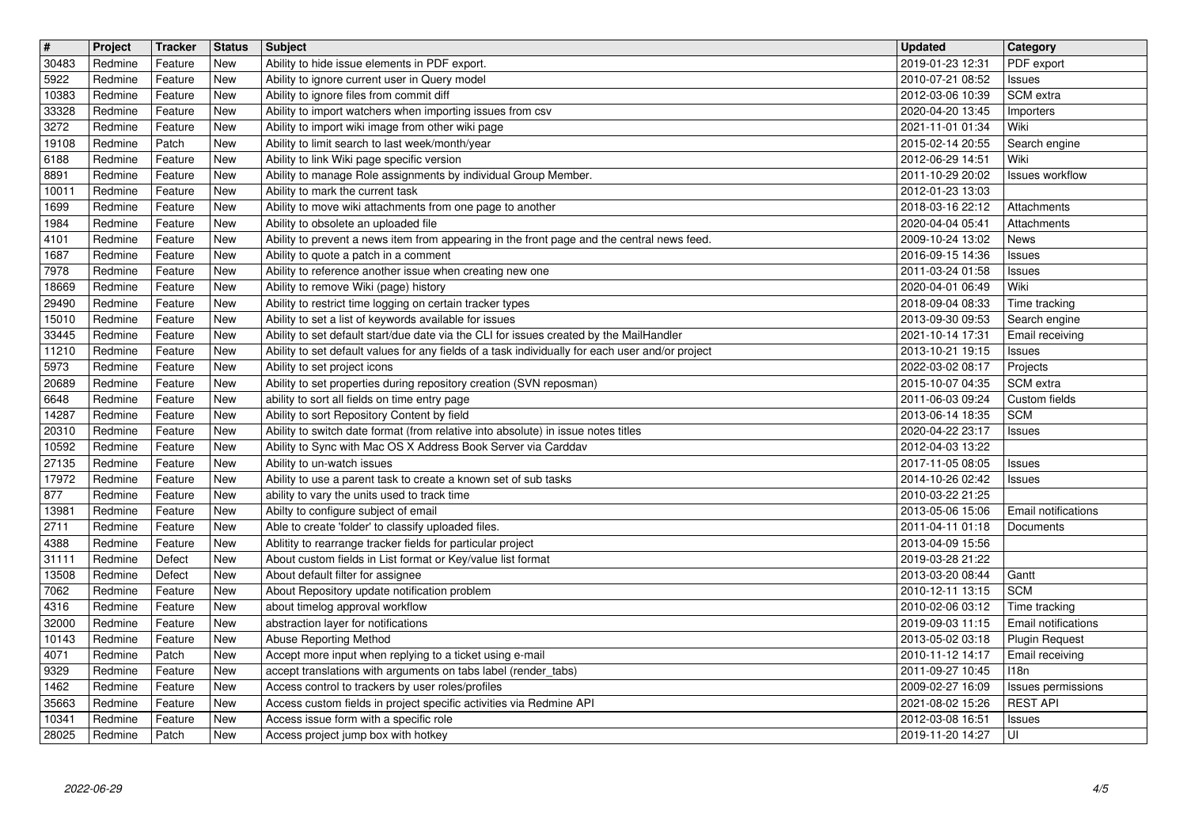| $\overline{\mathbf{H}}$ | Project            | Tracker            | <b>Status</b>     | <b>Subject</b>                                                                                                                      | <b>Updated</b>                       | <b>Category</b>                                     |
|-------------------------|--------------------|--------------------|-------------------|-------------------------------------------------------------------------------------------------------------------------------------|--------------------------------------|-----------------------------------------------------|
| 30483                   | Redmine            | Feature            | New               | Ability to hide issue elements in PDF export.                                                                                       | 2019-01-23 12:31                     | PDF export                                          |
| 5922<br>10383           | Redmine<br>Redmine | Feature<br>Feature | New<br><b>New</b> | Ability to ignore current user in Query model<br>Ability to ignore files from commit diff                                           | 2010-07-21 08:52<br>2012-03-06 10:39 | Issues<br>SCM extra                                 |
| 33328                   | Redmine            | Feature            | New               | Ability to import watchers when importing issues from csv                                                                           | 2020-04-20 13:45                     | Importers                                           |
| 3272                    | Redmine            | Feature            | New               | Ability to import wiki image from other wiki page                                                                                   | 2021-11-01 01:34                     | Wiki                                                |
| 19108                   | Redmine            | Patch              | New               | Ability to limit search to last week/month/year                                                                                     | 2015-02-14 20:55                     | Search engine                                       |
| 6188<br>8891            | Redmine<br>Redmine | Feature<br>Feature | New<br>New        | Ability to link Wiki page specific version<br>Ability to manage Role assignments by individual Group Member.                        | 2012-06-29 14:51<br>2011-10-29 20:02 | Wiki<br><b>Issues workflow</b>                      |
| 10011                   | Redmine            | Feature            | New               | Ability to mark the current task                                                                                                    | 2012-01-23 13:03                     |                                                     |
| 1699                    | Redmine            | Feature            | New               | Ability to move wiki attachments from one page to another                                                                           | 2018-03-16 22:12                     | Attachments                                         |
| 1984                    | Redmine            | Feature            | New               | Ability to obsolete an uploaded file                                                                                                | 2020-04-04 05:41                     | Attachments                                         |
| 4101<br>1687            | Redmine<br>Redmine | Feature<br>Feature | <b>New</b><br>New | Ability to prevent a news item from appearing in the front page and the central news feed.<br>Ability to quote a patch in a comment | 2009-10-24 13:02<br>2016-09-15 14:36 | <b>News</b><br>Issues                               |
| 7978                    | Redmine            | Feature            | New               | Ability to reference another issue when creating new one                                                                            | 2011-03-24 01:58                     | Issues                                              |
| 18669                   | Redmine            | Feature            | New               | Ability to remove Wiki (page) history                                                                                               | 2020-04-01 06:49                     | Wiki                                                |
| 29490<br>15010          | Redmine<br>Redmine | Feature<br>Feature | New<br>New        | Ability to restrict time logging on certain tracker types<br>Ability to set a list of keywords available for issues                 | 2018-09-04 08:33                     | Time tracking                                       |
| 33445                   | Redmine            | Feature            | New               | Ability to set default start/due date via the CLI for issues created by the MailHandler                                             | 2013-09-30 09:53<br>2021-10-14 17:31 | Search engine<br>Email receiving                    |
| 11210                   | Redmine            | Feature            | New               | Ability to set default values for any fields of a task individually for each user and/or project                                    | 2013-10-21 19:15                     | Issues                                              |
| 5973                    | Redmine            | Feature            | New               | Ability to set project icons                                                                                                        | 2022-03-02 08:17                     | Projects                                            |
| 20689<br>6648           | Redmine<br>Redmine | Feature<br>Feature | New<br>New        | Ability to set properties during repository creation (SVN reposman)<br>ability to sort all fields on time entry page                | 2015-10-07 04:35<br>2011-06-03 09:24 | SCM extra<br>Custom fields                          |
| 14287                   | Redmine            | Feature            | <b>New</b>        | Ability to sort Repository Content by field                                                                                         | 2013-06-14 18:35                     | <b>SCM</b>                                          |
| 20310                   | Redmine            | Feature            | New               | Ability to switch date format (from relative into absolute) in issue notes titles                                                   | 2020-04-22 23:17                     | <b>Issues</b>                                       |
| 10592                   | Redmine            | Feature            | New               | Ability to Sync with Mac OS X Address Book Server via Carddav                                                                       | 2012-04-03 13:22                     |                                                     |
| 27135<br>17972          | Redmine<br>Redmine | Feature<br>Feature | New<br>New        | Ability to un-watch issues<br>Ability to use a parent task to create a known set of sub tasks                                       | 2017-11-05 08:05<br>2014-10-26 02:42 | Issues<br>Issues                                    |
| 877                     | Redmine            | Feature            | New               | ability to vary the units used to track time                                                                                        | 2010-03-22 21:25                     |                                                     |
| 13981                   | Redmine            | Feature            | New               | Abilty to configure subject of email                                                                                                | 2013-05-06 15:06                     | Email notifications                                 |
| 2711                    | Redmine            | Feature            | New               | Able to create 'folder' to classify uploaded files.                                                                                 | 2011-04-11 01:18                     | Documents                                           |
| 4388<br>31111           | Redmine<br>Redmine | Feature<br>Defect  | New<br>New        | Ablitity to rearrange tracker fields for particular project<br>About custom fields in List format or Key/value list format          | 2013-04-09 15:56<br>2019-03-28 21:22 |                                                     |
| 13508                   | Redmine            | Defect             | New               | About default filter for assignee                                                                                                   | 2013-03-20 08:44                     | Gantt                                               |
| 7062                    | Redmine            | Feature            | New               | About Repository update notification problem                                                                                        | 2010-12-11 13:15                     | <b>SCM</b>                                          |
| 4316                    | Redmine            | Feature            | New               | about timelog approval workflow                                                                                                     | 2010-02-06 03:12                     | Time tracking                                       |
| 32000<br>10143          | Redmine<br>Redmine | Feature<br>Feature | New<br>New        | abstraction layer for notifications<br>Abuse Reporting Method                                                                       | 2019-09-03 11:15<br>2013-05-02 03:18 | <b>Email notifications</b><br><b>Plugin Request</b> |
| 4071                    | Redmine            | Patch              | New               | Accept more input when replying to a ticket using e-mail                                                                            | 2010-11-12 14:17                     | <b>Email receiving</b>                              |
| 9329                    | Redmine            | Feature            | New               | accept translations with arguments on tabs label (render_tabs)                                                                      | 2011-09-27 10:45                     | 118n                                                |
| 1462                    | Redmine            | Feature            | New               | Access control to trackers by user roles/profiles                                                                                   | 2009-02-27 16:09                     | Issues permissions<br><b>REST API</b>               |
| 35663<br>10341          | Redmine<br>Redmine | Feature<br>Feature | New<br>New        | Access custom fields in project specific activities via Redmine API<br>Access issue form with a specific role                       | 2021-08-02 15:26<br>2012-03-08 16:51 | Issues                                              |
| 28025                   | Redmine            | Patch              | New               | Access project jump box with hotkey                                                                                                 | 2019-11-20 14:27                     | l UI                                                |
|                         |                    |                    |                   |                                                                                                                                     |                                      |                                                     |
|                         |                    |                    |                   |                                                                                                                                     |                                      |                                                     |
|                         |                    |                    |                   |                                                                                                                                     |                                      |                                                     |
|                         |                    |                    |                   |                                                                                                                                     |                                      |                                                     |
|                         |                    |                    |                   |                                                                                                                                     |                                      |                                                     |
|                         |                    |                    |                   |                                                                                                                                     |                                      |                                                     |
|                         |                    |                    |                   |                                                                                                                                     |                                      |                                                     |
|                         |                    |                    |                   |                                                                                                                                     |                                      |                                                     |
|                         |                    |                    |                   |                                                                                                                                     |                                      |                                                     |
|                         |                    |                    |                   |                                                                                                                                     |                                      |                                                     |
|                         |                    |                    |                   |                                                                                                                                     |                                      |                                                     |
|                         |                    |                    |                   |                                                                                                                                     |                                      |                                                     |
|                         |                    |                    |                   |                                                                                                                                     |                                      |                                                     |